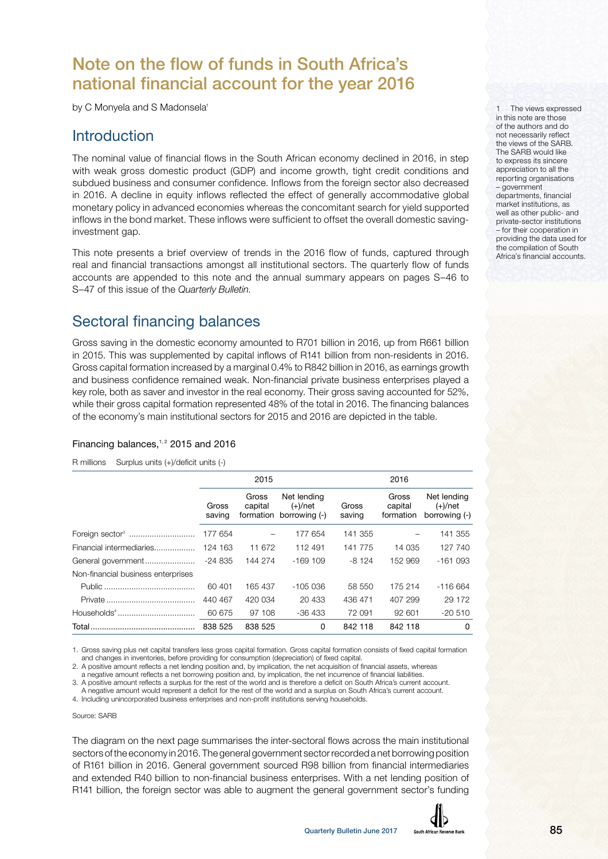# Note on the flow of funds in South Africa's national financial account for the year 2016

by C Monyela and S Madonsela<sup>1</sup>

# **Introduction**

The nominal value of financial flows in the South African economy declined in 2016, in step with weak gross domestic product (GDP) and income growth, tight credit conditions and subdued business and consumer confidence. Inflows from the foreign sector also decreased in 2016. A decline in equity inflows reflected the effect of generally accommodative global monetary policy in advanced economies whereas the concomitant search for yield supported inflows in the bond market. These inflows were sufficient to offset the overall domestic savinginvestment gap.

This note presents a brief overview of trends in the 2016 flow of funds, captured through real and financial transactions amongst all institutional sectors. The quarterly flow of funds accounts are appended to this note and the annual summary appears on pages S–46 to S–47 of this issue of the Quarterly Bulletin.

# Sectoral financing balances

Gross saving in the domestic economy amounted to R701 billion in 2016, up from R661 billion in 2015. This was supplemented by capital inflows of R141 billion from non-residents in 2016. Gross capital formation increased by a marginal 0.4% to R842 billion in 2016, as earnings growth and business confidence remained weak. Non-financial private business enterprises played a key role, both as saver and investor in the real economy. Their gross saving accounted for 52%, while their gross capital formation represented 48% of the total in 2016. The financing balances of the economy's main institutional sectors for 2015 and 2016 are depicted in the table.

#### Financing balances, $1, 2$  2015 and 2016

R millions Surplus units (+)/deficit units (-)

|                                    |                 | 2015             |                                                      |                 | 2016                          |                                            |  |  |  |  |
|------------------------------------|-----------------|------------------|------------------------------------------------------|-----------------|-------------------------------|--------------------------------------------|--|--|--|--|
|                                    | Gross<br>saving | Gross<br>capital | Net lending<br>$(+)/$ net<br>formation borrowing (-) | Gross<br>saving | Gross<br>capital<br>formation | Net lending<br>$(+)/$ net<br>borrowing (-) |  |  |  |  |
| Foreign sector <sup>3</sup>        | 177 654         |                  | 177 654                                              | 141 355         |                               | 141 355                                    |  |  |  |  |
| Financial intermediaries           | 124 163         | 11 672           | 112 491                                              | 141 775         | 14 035                        | 127 740                                    |  |  |  |  |
|                                    |                 | 144 274          | $-169109$                                            | $-8124$         | 152 969                       | $-161093$                                  |  |  |  |  |
| Non-financial business enterprises |                 |                  |                                                      |                 |                               |                                            |  |  |  |  |
|                                    | 60 401          | 165 437          | -105 036                                             | 58 550          | 175 214                       | $-116664$                                  |  |  |  |  |
|                                    | 440 467         | 420 034          | 20 433                                               | 436 471         | 407 299                       | 29 172                                     |  |  |  |  |
|                                    | 60 675          | 97 108           | -36 433                                              | 72 091          | 92 601                        | $-20510$                                   |  |  |  |  |
|                                    | 838 525         | 838 525          | 0                                                    | 842 118         | 842 118                       | 0                                          |  |  |  |  |

1. Gross saving plus net capital transfers less gross capital formation. Gross capital formation consists of fixed capital formation and changes in inventories, before providing for consumption (depreciation) of fixed capital.

2. A positive amount reflects a net lending position and, by implication, the net acquisition of financial assets, whereas

a negative amount reflects a net borrowing position and, by implication, the net incurrence of financial liabilities.

3. A positive amount reflects a surplus for the rest of the world and is therefore a deficit on South Africa's current account. A negative amount would represent a deficit for the rest of the world and a surplus on South Africa's current account.

4. Including unincorporated business enterprises and non-profit institutions serving households.

Source: SARB

The diagram on the next page summarises the inter-sectoral flows across the main institutional sectors of the economy in 2016. The general government sector recorded a net borrowing position of R161 billion in 2016. General government sourced R98 billion from financial intermediaries and extended R40 billion to non-financial business enterprises. With a net lending position of R141 billion, the foreign sector was able to augment the general government sector's funding



The views expressed in this note are those of the authors and do not necessarily reflect the views of the SARB. The SARB would like to express its sincere appreciation to all the reporting organisations – government departments, financial market institutions, as

well as other public- and private-sector institutions – for their cooperation in providing the data used for the compilation of South Africa's financial accounts.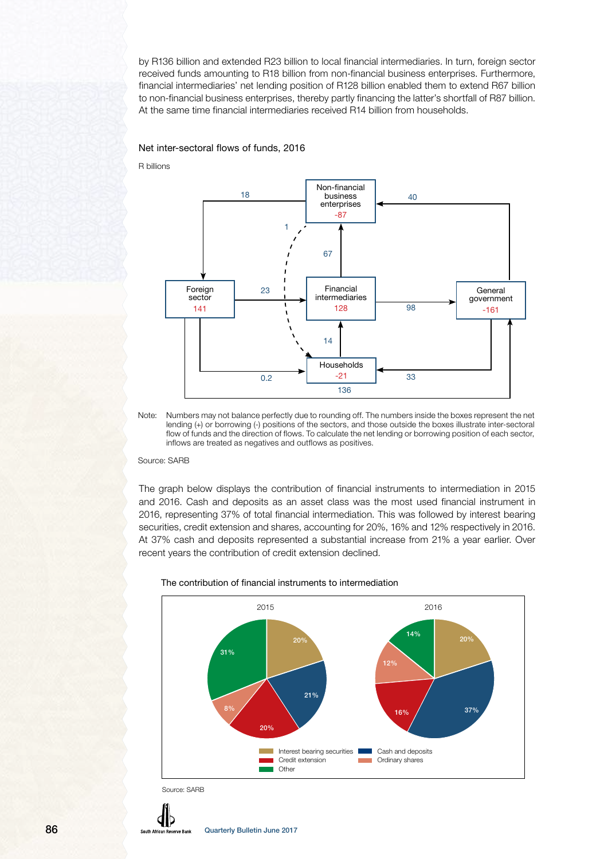by R136 billion and extended R23 billion to local financial intermediaries. In turn, foreign sector received funds amounting to R18 billion from non-financial business enterprises. Furthermore, financial intermediaries' net lending position of R128 billion enabled them to extend R67 billion to non-financial business enterprises, thereby partly financing the latter's shortfall of R87 billion. At the same time financial intermediaries received R14 billion from households.

#### Net inter-sectoral flows of funds, 2016

R billions



Note: Numbers may not balance perfectly due to rounding off. The numbers inside the boxes represent the net lending (+) or borrowing (-) positions of the sectors, and those outside the boxes illustrate inter-sectoral flow of funds and the direction of flows. To calculate the net lending or borrowing position of each sector, inflows are treated as negatives and outflows as positives.

#### Source: SARB

The graph below displays the contribution of financial instruments to intermediation in 2015 and 2016. Cash and deposits as an asset class was the most used financial instrument in 2016, representing 37% of total financial intermediation. This was followed by interest bearing securities, credit extension and shares, accounting for 20%, 16% and 12% respectively in 2016. At 37% cash and deposits represented a substantial increase from 21% a year earlier. Over recent years the contribution of credit extension declined.

#### The contribution of financial instruments to intermediation



Source: SARB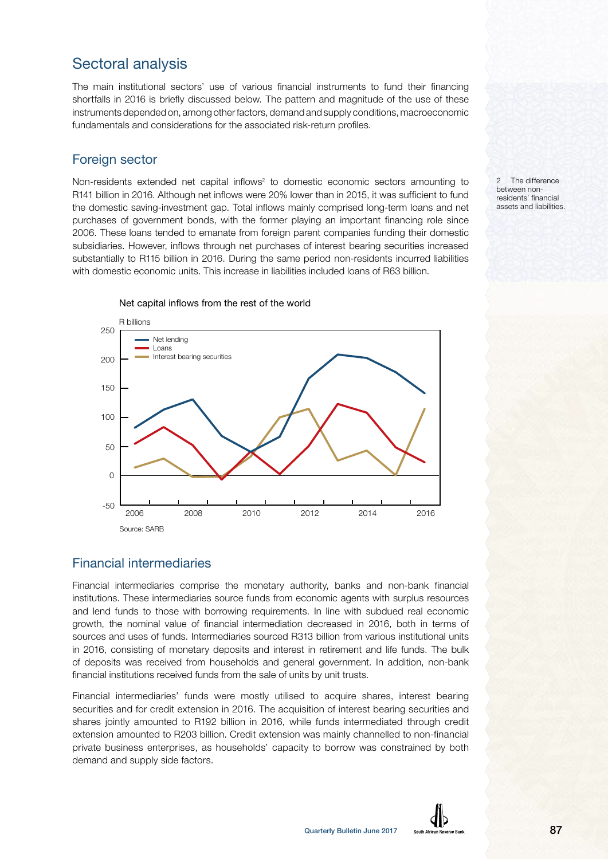# Sectoral analysis

The main institutional sectors' use of various financial instruments to fund their financing shortfalls in 2016 is briefly discussed below. The pattern and magnitude of the use of these instruments depended on, among other factors, demand and supply conditions, macroeconomic fundamentals and considerations for the associated risk-return profiles.

### Foreign sector

Non-residents extended net capital inflows<sup>2</sup> to domestic economic sectors amounting to R141 billion in 2016. Although net inflows were 20% lower than in 2015, it was sufficient to fund the domestic saving-investment gap. Total inflows mainly comprised long-term loans and net purchases of government bonds, with the former playing an important financing role since 2006. These loans tended to emanate from foreign parent companies funding their domestic subsidiaries. However, inflows through net purchases of interest bearing securities increased substantially to R115 billion in 2016. During the same period non-residents incurred liabilities with domestic economic units. This increase in liabilities included loans of R63 billion.



Net capital inflows from the rest of the world

## Financial intermediaries

Financial intermediaries comprise the monetary authority, banks and non-bank financial institutions. These intermediaries source funds from economic agents with surplus resources and lend funds to those with borrowing requirements. In line with subdued real economic growth, the nominal value of financial intermediation decreased in 2016, both in terms of sources and uses of funds. Intermediaries sourced R313 billion from various institutional units in 2016, consisting of monetary deposits and interest in retirement and life funds. The bulk of deposits was received from households and general government. In addition, non-bank financial institutions received funds from the sale of units by unit trusts.

Financial intermediaries' funds were mostly utilised to acquire shares, interest bearing securities and for credit extension in 2016. The acquisition of interest bearing securities and shares jointly amounted to R192 billion in 2016, while funds intermediated through credit extension amounted to R203 billion. Credit extension was mainly channelled to non-financial private business enterprises, as households' capacity to borrow was constrained by both demand and supply side factors.

2 The difference between nonresidents' financial assets and liabilities.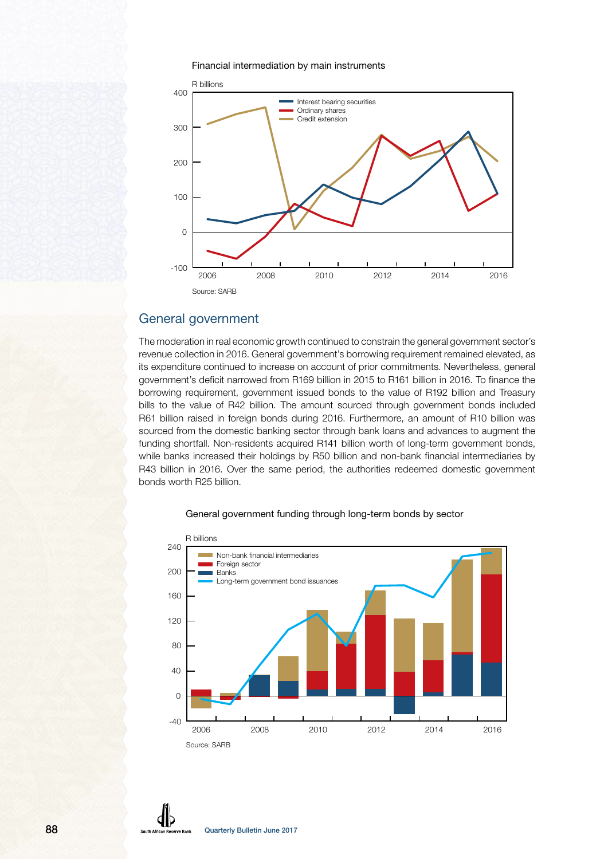#### Financial intermediation by main instruments



### General government

The moderation in real economic growth continued to constrain the general government sector's revenue collection in 2016. General government's borrowing requirement remained elevated, as its expenditure continued to increase on account of prior commitments. Nevertheless, general government's deficit narrowed from R169 billion in 2015 to R161 billion in 2016. To finance the borrowing requirement, government issued bonds to the value of R192 billion and Treasury bills to the value of R42 billion. The amount sourced through government bonds included R61 billion raised in foreign bonds during 2016. Furthermore, an amount of R10 billion was sourced from the domestic banking sector through bank loans and advances to augment the funding shortfall. Non-residents acquired R141 billion worth of long-term government bonds, while banks increased their holdings by R50 billion and non-bank financial intermediaries by R43 billion in 2016. Over the same period, the authorities redeemed domestic government bonds worth R25 billion.



#### General government funding through long-term bonds by sector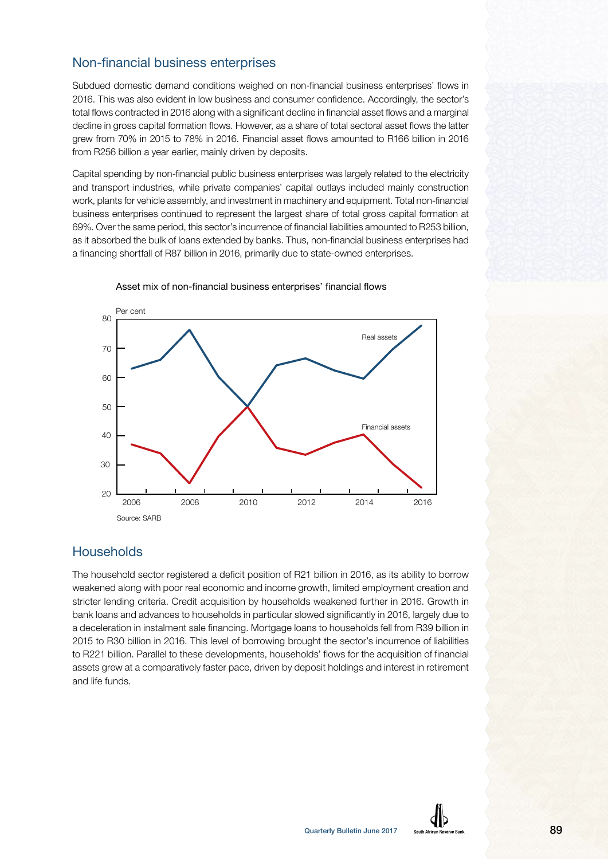## Non-financial business enterprises

Subdued domestic demand conditions weighed on non-financial business enterprises' flows in 2016. This was also evident in low business and consumer confidence. Accordingly, the sector's total flows contracted in 2016 along with a significant decline in financial asset flows and a marginal decline in gross capital formation flows. However, as a share of total sectoral asset flows the latter grew from 70% in 2015 to 78% in 2016. Financial asset flows amounted to R166 billion in 2016 from R256 billion a year earlier, mainly driven by deposits.

Capital spending by non-financial public business enterprises was largely related to the electricity and transport industries, while private companies' capital outlays included mainly construction work, plants for vehicle assembly, and investment in machinery and equipment. Total non-financial business enterprises continued to represent the largest share of total gross capital formation at 69%. Over the same period, this sector's incurrence of financial liabilities amounted to R253 billion, as it absorbed the bulk of loans extended by banks. Thus, non-financial business enterprises had a financing shortfall of R87 billion in 2016, primarily due to state-owned enterprises.



Asset mix of non-financial business enterprises' financial flows

#### **Households**

The household sector registered a deficit position of R21 billion in 2016, as its ability to borrow weakened along with poor real economic and income growth, limited employment creation and stricter lending criteria. Credit acquisition by households weakened further in 2016. Growth in bank loans and advances to households in particular slowed significantly in 2016, largely due to a deceleration in instalment sale financing. Mortgage loans to households fell from R39 billion in 2015 to R30 billion in 2016. This level of borrowing brought the sector's incurrence of liabilities to R221 billion. Parallel to these developments, households' flows for the acquisition of financial assets grew at a comparatively faster pace, driven by deposit holdings and interest in retirement and life funds.

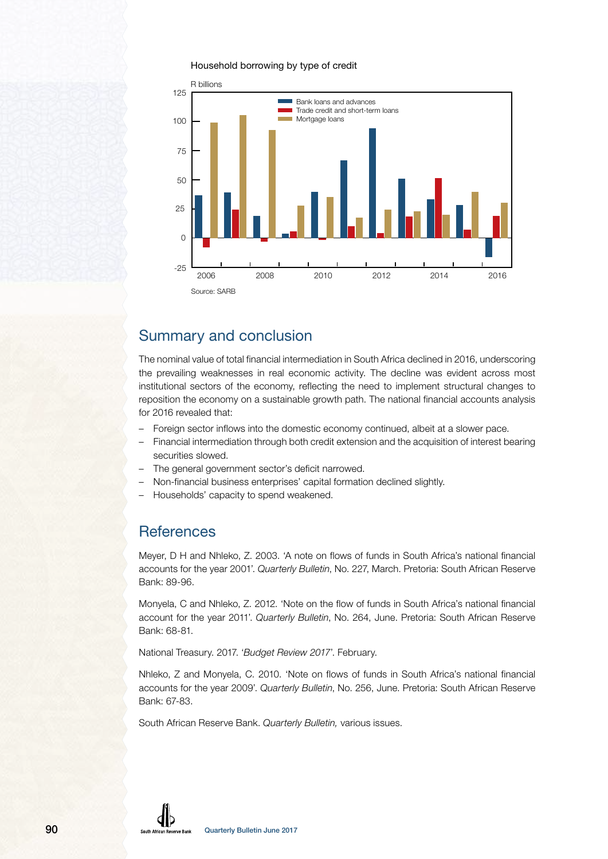#### Household borrowing by type of credit



# Summary and conclusion

The nominal value of total financial intermediation in South Africa declined in 2016, underscoring the prevailing weaknesses in real economic activity. The decline was evident across most institutional sectors of the economy, reflecting the need to implement structural changes to reposition the economy on a sustainable growth path. The national financial accounts analysis for 2016 revealed that:

- Foreign sector inflows into the domestic economy continued, albeit at a slower pace.
- Financial intermediation through both credit extension and the acquisition of interest bearing securities slowed.
- The general government sector's deficit narrowed.
- Non-financial business enterprises' capital formation declined slightly.
- Households' capacity to spend weakened.

# **References**

Meyer, D H and Nhleko, Z. 2003. 'A note on flows of funds in South Africa's national financial accounts for the year 2001'. Quarterly Bulletin, No. 227, March. Pretoria: South African Reserve Bank: 89-96.

Monyela, C and Nhleko, Z. 2012. 'Note on the flow of funds in South Africa's national financial account for the year 2011'. Quarterly Bulletin, No. 264, June. Pretoria: South African Reserve Bank: 68-81.

National Treasury. 2017. 'Budget Review 2017'. February.

Nhleko, Z and Monyela, C. 2010. 'Note on flows of funds in South Africa's national financial accounts for the year 2009'. Quarterly Bulletin, No. 256, June. Pretoria: South African Reserve Bank: 67-83.

South African Reserve Bank. Quarterly Bulletin, various issues.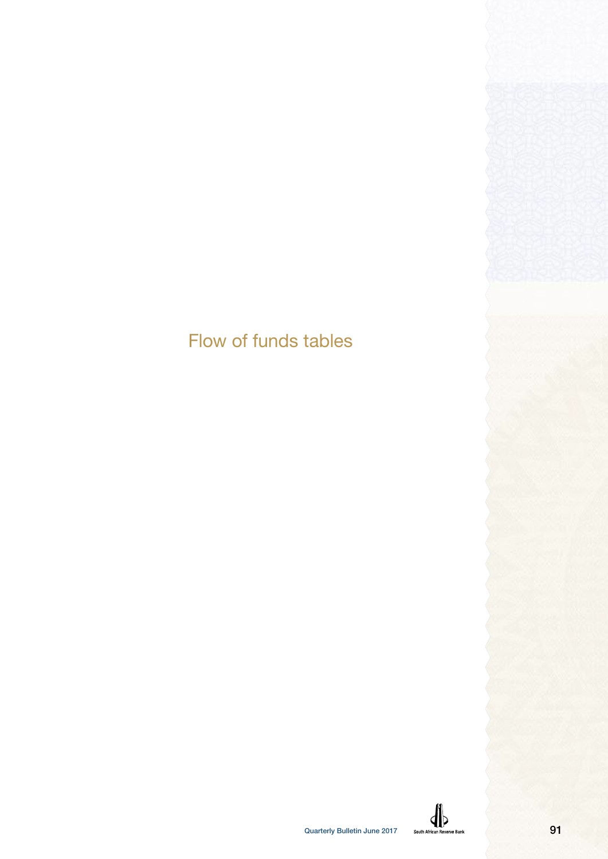# Flow of funds tables

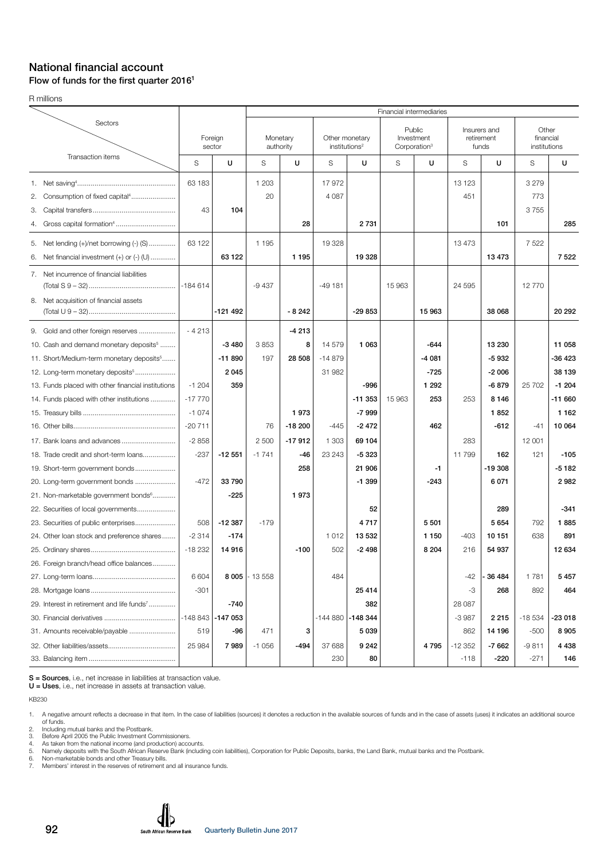#### National financial account Flow of funds for the first quarter  $2016<sup>1</sup>$

R millions

|                                                                                           |           |           |                |                       |                  |                                                | Financial intermediaries                         |         |                                     |          |                                    |          |
|-------------------------------------------------------------------------------------------|-----------|-----------|----------------|-----------------------|------------------|------------------------------------------------|--------------------------------------------------|---------|-------------------------------------|----------|------------------------------------|----------|
| Sectors                                                                                   | sector    | Foreign   |                | Monetary<br>authority |                  | Other monetary<br>$in$ stitutions <sup>2</sup> | Public<br>Investment<br>Corporation <sup>3</sup> |         | Insurers and<br>retirement<br>funds |          | Other<br>financial<br>institutions |          |
| Transaction items                                                                         | S         | U         | S              | U                     | S                | U                                              | S                                                | U       | S                                   | U        | S                                  | U        |
| Consumption of fixed capital <sup>4</sup><br>2.                                           | 63 183    |           | 1 203<br>20    |                       | 17972<br>4 0 8 7 |                                                |                                                  |         | 13 123<br>451                       |          | 3 2 7 9<br>773                     |          |
| З.                                                                                        | 43        | 104       |                |                       |                  |                                                |                                                  |         |                                     |          | 3755                               |          |
| 4.                                                                                        |           |           |                | 28                    |                  | 2 7 3 1                                        |                                                  |         |                                     | 101      |                                    | 285      |
| 5. Net lending (+)/net borrowing (-) (S)<br>Net financial investment (+) or (-) (U)<br>6. | 63 122    | 63 122    | 1 1 9 5        | 1 1 9 5               | 19 328           | 19 328                                         |                                                  |         | 13 473                              | 13473    | 7 5 2 2                            | 7 5 2 2  |
| 7. Net incurrence of financial liabilities                                                |           |           |                |                       |                  |                                                |                                                  |         |                                     |          |                                    |          |
|                                                                                           | $-184614$ |           | $-9437$        |                       | $-49181$         |                                                | 15 963                                           |         | 24 5 95                             |          | 12 770                             |          |
| 8. Net acquisition of financial assets                                                    |           | -121 492  |                | $-8242$               |                  | $-29853$                                       |                                                  | 15 963  |                                     | 38 068   |                                    | 20 29 2  |
| 9. Gold and other foreign reserves                                                        | $-4213$   |           |                | $-4213$               |                  |                                                |                                                  |         |                                     |          |                                    |          |
| 10. Cash and demand monetary deposits <sup>5</sup>                                        |           | $-3480$   | 3853           | 8                     | 14 579           | 1 0 6 3                                        |                                                  | $-644$  |                                     | 13 230   |                                    | 11 058   |
| 11. Short/Medium-term monetary deposits <sup>5</sup>                                      |           | $-11890$  | 197            | 28 508                | $-14879$         |                                                |                                                  | $-4081$ |                                     | $-5932$  |                                    | -36 423  |
| 12. Long-term monetary deposits <sup>5</sup>                                              |           | 2 0 4 5   |                |                       | 31 982           |                                                |                                                  | $-725$  |                                     | $-2006$  |                                    | 38 139   |
| 13. Funds placed with other financial institutions                                        | $-1204$   | 359       |                |                       |                  | -996                                           |                                                  | 1 2 9 2 |                                     | $-6879$  | 25 702                             | $-1204$  |
| 14. Funds placed with other institutions                                                  | $-17770$  |           |                |                       |                  | $-11353$                                       | 15 963                                           | 253     | 253                                 | 8146     |                                    | -11 660  |
|                                                                                           | $-1074$   |           |                | 1973                  |                  | $-7999$                                        |                                                  |         |                                     | 1852     |                                    | 1 1 6 2  |
|                                                                                           | $-20711$  |           | 76             | $-18200$              | $-445$           | $-2472$                                        |                                                  | 462     |                                     | $-612$   | -41                                | 10 064   |
|                                                                                           | $-2858$   |           | 2 500          | $-17912$              | 1 303            | 69 104                                         |                                                  |         | 283                                 |          | 12 001                             |          |
| 18. Trade credit and short-term loans                                                     | $-237$    | $-12551$  | $-1741$        | $-46$                 | 23 243           | $-5323$                                        |                                                  |         | 11 799                              | 162      | 121                                | $-105$   |
| 19. Short-term government bonds                                                           |           |           |                | 258                   |                  | 21 906                                         |                                                  | $-1$    |                                     | $-19308$ |                                    | $-5182$  |
| 20. Long-term government bonds                                                            | $-472$    | 33790     |                |                       |                  | $-1.399$                                       |                                                  | $-243$  |                                     | 6071     |                                    | 2982     |
| 21. Non-marketable government bonds <sup>6</sup>                                          |           | -225      |                | 1973                  |                  |                                                |                                                  |         |                                     |          |                                    |          |
| 22. Securities of local governments                                                       |           |           |                |                       |                  | 52                                             |                                                  |         |                                     | 289      |                                    | $-341$   |
| 23. Securities of public enterprises                                                      | 508       | -12 387   | $-179$         |                       |                  | 4717                                           |                                                  | 5 5 0 1 |                                     | 5654     | 792                                | 1885     |
| 24. Other loan stock and preference shares                                                | $-2314$   | $-174$    |                |                       | 1012             | 13 532                                         |                                                  | 1 1 5 0 | $-403$                              | 10151    | 638                                | 891      |
|                                                                                           | $-18232$  | 14 916    |                | $-100$                | 502              | $-2498$                                        |                                                  | 8 2 0 4 | 216                                 | 54 937   |                                    | 12 634   |
| 26. Foreign branch/head office balances                                                   |           |           |                |                       |                  |                                                |                                                  |         |                                     |          |                                    |          |
|                                                                                           | 6 604     |           | $8005$ - 13558 |                       | 484              |                                                |                                                  |         | -42                                 | - 36 484 | 1781                               | 5457     |
|                                                                                           | $-301$    |           |                |                       |                  | 25 4 14                                        |                                                  |         | -3                                  | 268      | 892                                | 464      |
| 29. Interest in retirement and life funds <sup>7</sup>                                    |           | $-740$    |                |                       |                  | 382                                            |                                                  |         | 28 087                              |          |                                    |          |
|                                                                                           | $-148843$ | $-147053$ |                |                       |                  | -144 880 <b>-148 344</b>                       |                                                  |         | $-3987$                             | 2 2 1 5  | $-18534$                           | $-23018$ |
| 31. Amounts receivable/payable                                                            | 519       | -96       | 471            | 3                     |                  | 5 0 3 9                                        |                                                  |         | 862                                 | 14 196   | $-500$                             | 8905     |
|                                                                                           | 25 984    | 7989      | $-1056$        | -494                  | 37 688           | 9 2 4 2                                        |                                                  | 4795    | $-12352$                            | $-7662$  | $-9811$                            | 4 4 3 8  |
|                                                                                           |           |           |                |                       | 230              | 80                                             |                                                  |         | $-118$                              | -220     | $-271$                             | 146      |

S = Sources, i.e., net increase in liabilities at transaction value.

U = Uses, i.e., net increase in assets at transaction value.

KB230

1. A negative amount reflects a decrease in that item. In the case of liabilities (sources) it denotes a reduction in the available sources of funds and in the case of assets (uses) it indicates an additional source<br>of fun

2. Including mutual banks and the Postbank.<br>3. Before April 2005 the Public Investment Commissioners.<br>4. As taken from the national income (and production) accounts.<br>5. Namely deposits with the South African Reserve Bank (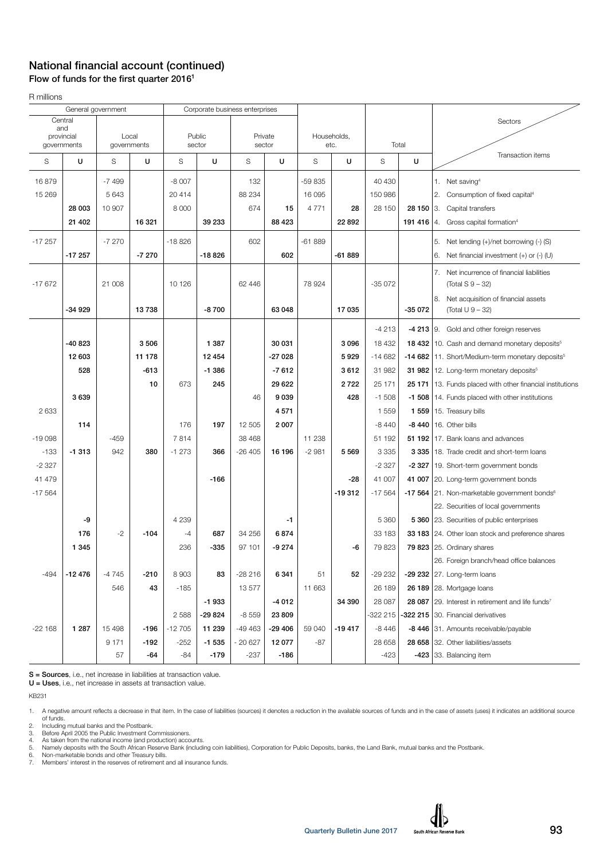### National financial account (continued) Flow of funds for the first quarter  $2016<sup>1</sup>$

R millions

|          |                   | General government |             |          |          | Corporate business enterprises |          |          |             |          |            |                                                                  |
|----------|-------------------|--------------------|-------------|----------|----------|--------------------------------|----------|----------|-------------|----------|------------|------------------------------------------------------------------|
|          | Central           |                    |             |          |          |                                |          |          |             |          |            | Sectors                                                          |
|          | and<br>provincial |                    | Local       |          | Public   |                                | Private  |          | Households, |          |            |                                                                  |
|          | governments       |                    | governments |          | sector   |                                | sector   |          | etc.        |          | Total      |                                                                  |
| S        | U                 | S                  | U           | S        | U        | S                              | U        | S        | U           | S        | U          | Transaction items                                                |
| 16879    |                   | $-7499$            |             | $-8007$  |          | 132                            |          | -59 835  |             | 40 430   |            | 1. Net saving <sup>4</sup>                                       |
| 15 269   |                   | 5 6 4 3            |             | 20414    |          | 88 234                         |          | 16 095   |             | 150 986  |            | 2.<br>Consumption of fixed capital <sup>4</sup>                  |
|          | 28 003            | 10 907             |             | 8 0 0 0  |          | 674                            | 15       | 4 7 7 1  | 28          | 28 150   | 28 150 3.  | Capital transfers                                                |
|          | 21 402            |                    | 16 321      |          | 39 233   |                                | 88 4 23  |          | 22 892      |          | 191 416 4. | Gross capital formation <sup>4</sup>                             |
|          |                   |                    |             |          |          |                                |          |          |             |          |            |                                                                  |
| $-17257$ |                   | $-7270$            |             | $-18826$ |          | 602                            |          | $-61889$ |             |          |            | 5. Net lending (+)/net borrowing (-) (S)                         |
|          | $-17257$          |                    | $-7270$     |          | $-18826$ |                                | 602      |          | -61 889     |          |            | Net financial investment $(+)$ or $(-)$ (U)<br>6.                |
|          |                   |                    |             |          |          |                                |          |          |             |          |            | Net incurrence of financial liabilities<br>7.                    |
| $-17672$ |                   | 21 008             |             | 10 1 26  |          | 62 4 4 6                       |          | 78 924   |             | $-35072$ |            | $(Total S 9 - 32)$                                               |
|          |                   |                    |             |          |          |                                |          |          |             |          |            | Net acquisition of financial assets<br>8.                        |
|          | -34 929           |                    | 13738       |          | $-8700$  |                                | 63 048   |          | 17035       |          | $-35072$   | (Total U 9 - 32)                                                 |
|          |                   |                    |             |          |          |                                |          |          |             | $-4213$  |            | $-4213$ 9. Gold and other foreign reserves                       |
|          | -40 823           |                    | 3506        |          | 1 3 8 7  |                                | 30 031   |          | 3096        | 18 4 32  |            | 18 432   10. Cash and demand monetary deposits <sup>5</sup>      |
|          | 12 603            |                    | 11 178      |          | 12 4 54  |                                | $-27028$ |          | 5929        | $-14682$ |            | -14 682 11. Short/Medium-term monetary deposits <sup>5</sup>     |
|          | 528               |                    | $-613$      |          | $-1.386$ |                                | $-7612$  |          | 3612        | 31 982   |            | 31 982   12. Long-term monetary deposits <sup>5</sup>            |
|          |                   |                    | 10          | 673      | 245      |                                | 29 622   |          | 2722        | 25 171   |            | 25 171   13. Funds placed with other financial institutions      |
|          | 3639              |                    |             |          |          | 46                             | 9 0 3 9  |          | 428         | $-1508$  |            | -1 508   14. Funds placed with other institutions                |
| 2 6 3 3  |                   |                    |             |          |          |                                | 4571     |          |             | 1559     |            | 1 559   15. Treasury bills                                       |
|          | 114               |                    |             | 176      | 197      | 12 505                         | 2 0 0 7  |          |             | $-8440$  |            | $-8440$   16. Other bills                                        |
| $-19098$ |                   | $-459$             |             | 7814     |          | 38 4 68                        |          | 11 238   |             | 51 192   |            | 51 192   17. Bank loans and advances                             |
| $-133$   | $-1313$           | 942                | 380         | $-1273$  | 366      | $-26405$                       | 16 196   | $-2981$  | 5 5 6 9     | 3 3 3 5  |            | 3 335   18. Trade credit and short-term loans                    |
| $-2327$  |                   |                    |             |          |          |                                |          |          |             | $-2327$  |            | -2 327   19. Short-term government bonds                         |
| 41 479   |                   |                    |             |          | $-166$   |                                |          |          | -28         | 41 007   |            | 41 007 20. Long-term government bonds                            |
| $-17564$ |                   |                    |             |          |          |                                |          |          | $-19312$    | $-17564$ |            | -17 564 $\vert$ 21. Non-marketable government bonds <sup>6</sup> |
|          |                   |                    |             |          |          |                                |          |          |             |          |            | 22. Securities of local governments                              |
|          | -9                |                    |             | 4 2 3 9  |          |                                | -1       |          |             | 5 3 6 0  |            | 5 360 23. Securities of public enterprises                       |
|          | 176               | $-2$               | $-104$      | $-4$     | 687      | 34 256                         | 6874     |          |             | 33 183   |            | 33 183 24. Other loan stock and preference shares                |
|          | 1 3 4 5           |                    |             | 236      | -335     | 97 101                         | $-9274$  |          | -6          | 79823    |            | 79 823 $ 25$ . Ordinary shares                                   |
|          |                   |                    |             |          |          |                                |          |          |             |          |            | 26. Foreign branch/head office balances                          |
| $-494$   | $-12476$          | $-4745$            | $-210$      | 8 9 0 3  | 83       | $-28216$                       | 6 341    | 51       | 52          | $-29232$ |            | -29 232 $ 27.$ Long-term loans                                   |
|          |                   | 546                | 43          | $-185$   |          | 13577                          |          | 11 663   |             | 26 189   |            | 26 189 $ 28$ . Mortgage loans                                    |
|          |                   |                    |             |          | $-1933$  |                                | $-4012$  |          | 34 390      | 28 087   |            | 28 087 29. Interest in retirement and life funds <sup>7</sup>    |
|          |                   |                    |             | 2588     | -29 824  | $-8559$                        | 23 809   |          |             | -322 215 |            | -322 215 30. Financial derivatives                               |
| $-22168$ | 1 2 8 7           | 15 4 98            | $-196$      | $-12705$ | 11 239   | -49 463                        | $-29406$ | 59 040   | $-19417$    | $-8446$  |            | -8 446 31. Amounts receivable/payable                            |
|          |                   | 9 1 7 1            | $-192$      | $-252$   | $-1535$  | $-20627$                       | 12 077   | -87      |             | 28 658   |            | 28 658 32. Other liabilities/assets                              |
|          |                   | 57                 | $-64$       | -84      | $-179$   | $-237$                         | $-186$   |          |             | $-423$   |            | $-423$ 33. Balancing item                                        |
|          |                   |                    |             |          |          |                                |          |          |             |          |            |                                                                  |

S = Sources, i.e., net increase in liabilities at transaction value.

U = Uses, i.e., net increase in assets at transaction value.

KB231

1. A negative amount reflects a decrease in that item. In the case of liabilities (sources) it denotes a reduction in the available sources of funds and in the case of assets (uses) it indicates an additional source<br>6 fund

2. Including mutual banks and the Postbank. 3. Before April 2005 the Public Investment Commissioners.

4. As taken from the national income (and production) accounts.<br>5. Namely deposits with the South African Reserve Bank (including coin liabilities), Corporation for Public Deposits, banks, the Land Bank, mutual banks and t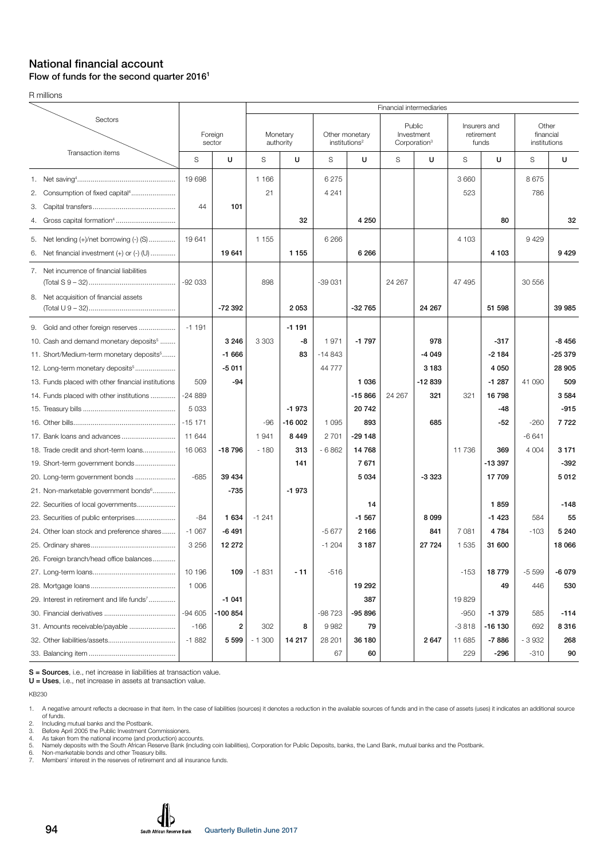#### National financial account Flow of funds for the second quarter 2016<sup>1</sup>

R millions

|                                                         |                   |          |                       |          |                                             |          |                                                  | Financial intermediaries |                                     |          |                                    |         |
|---------------------------------------------------------|-------------------|----------|-----------------------|----------|---------------------------------------------|----------|--------------------------------------------------|--------------------------|-------------------------------------|----------|------------------------------------|---------|
| Sectors                                                 | Foreign<br>sector |          | Monetary<br>authority |          | Other monetary<br>institutions <sup>2</sup> |          | Public<br>Investment<br>Corporation <sup>3</sup> |                          | Insurers and<br>retirement<br>funds |          | Other<br>financial<br>institutions |         |
| Transaction items                                       | S                 | U        | S                     | U        | S                                           | U        | S                                                | U                        | S                                   | U        | S                                  | U       |
|                                                         | 19 698            |          | 1 1 6 6               |          | 6 2 7 5                                     |          |                                                  |                          | 3 6 6 0                             |          | 8675                               |         |
| 2.                                                      |                   |          | 21                    |          | 4 2 4 1                                     |          |                                                  |                          | 523                                 |          | 786                                |         |
| З.                                                      | 44                | 101      |                       |          |                                             |          |                                                  |                          |                                     |          |                                    |         |
| 4.                                                      |                   |          |                       | 32       |                                             | 4 2 5 0  |                                                  |                          |                                     | 80       |                                    | 32      |
| 5.<br>Net lending $(+)/$ net borrowing $(-)$ $(S)$      | 19641             |          | 1 1 5 5               |          | 6 2 6 6                                     |          |                                                  |                          | 4 103                               |          | 9429                               |         |
| Net financial investment $(+)$ or $(-)$ $($ U $)$<br>6. |                   | 19641    |                       | 1 1 5 5  |                                             | 6 2 6 6  |                                                  |                          |                                     | 4 1 0 3  |                                    | 9429    |
| 7. Net incurrence of financial liabilities              | $-92033$          |          | 898                   |          | $-39031$                                    |          | 24 267                                           |                          | 47 495                              |          | 30 556                             |         |
| 8. Net acquisition of financial assets                  |                   | -72 392  |                       | 2053     |                                             | $-32765$ |                                                  | 24 267                   |                                     | 51 598   |                                    | 39 985  |
|                                                         |                   |          |                       |          |                                             |          |                                                  |                          |                                     |          |                                    |         |
| 9. Gold and other foreign reserves                      | $-1191$           |          |                       | $-1191$  |                                             |          |                                                  |                          |                                     |          |                                    |         |
| 10. Cash and demand monetary deposits <sup>5</sup>      |                   | 3 2 4 6  | 3 3 0 3               | -8       | 1971                                        | $-1797$  |                                                  | 978                      |                                     | $-317$   |                                    | $-8456$ |
| 11. Short/Medium-term monetary deposits <sup>5</sup>    |                   | $-1666$  |                       | 83       | $-14843$                                    |          |                                                  | $-4049$                  |                                     | $-2184$  |                                    | -25 379 |
| 12. Long-term monetary deposits <sup>5</sup>            |                   | $-5011$  |                       |          | 44 777                                      |          |                                                  | 3 1 8 3                  |                                     | 4 0 5 0  |                                    | 28 905  |
| 13. Funds placed with other financial institutions      | 509               | $-94$    |                       |          |                                             | 1 0 3 6  |                                                  | -12839                   |                                     | $-1287$  | 41 090                             | 509     |
| 14. Funds placed with other institutions                | $-24889$          |          |                       |          |                                             | $-15866$ | 24 267                                           | 321                      | 321                                 | 16798    |                                    | 3584    |
|                                                         | 5 0 3 3           |          |                       | $-1973$  |                                             | 20742    |                                                  |                          |                                     | -48      |                                    | $-915$  |
|                                                         | $-15171$          |          | $-96$                 | $-16002$ | 1 0 9 5                                     | 893      |                                                  | 685                      |                                     | -52      | $-260$                             | 7722    |
|                                                         | 11 644            |          | 1941                  | 8 4 4 9  | 2 7 0 1                                     | $-29148$ |                                                  |                          |                                     |          | $-6641$                            |         |
| 18. Trade credit and short-term loans                   | 16 063            | $-18796$ | $-180$                | 313      | $-6862$                                     | 14768    |                                                  |                          | 11736                               | 369      | 4 0 0 4                            | 3 1 7 1 |
| 19. Short-term government bonds                         |                   |          |                       | 141      |                                             | 7671     |                                                  |                          |                                     | $-13397$ |                                    | $-392$  |
| 20. Long-term government bonds                          | $-685$            | 39 434   |                       |          |                                             | 5 0 3 4  |                                                  | $-3323$                  |                                     | 17709    |                                    | 5012    |
| 21. Non-marketable government bonds <sup>6</sup>        |                   | $-735$   |                       | $-1973$  |                                             |          |                                                  |                          |                                     |          |                                    |         |
| 22. Securities of local governments                     |                   |          |                       |          |                                             | 14       |                                                  |                          |                                     | 1859     |                                    | $-148$  |
| 23. Securities of public enterprises                    | -84               | 1 634    | $-1241$               |          |                                             | $-1567$  |                                                  | 8 0 9 9                  |                                     | $-1423$  | 584                                | 55      |
| 24. Other loan stock and preference shares              | $-1067$           | $-6491$  |                       |          | $-5677$                                     | 2 1 6 6  |                                                  | 841                      | 7 0 8 1                             | 4784     | $-103$                             | 5 2 4 0 |
|                                                         | 3 2 5 6           | 12 27 2  |                       |          | $-1204$                                     | 3 1 8 7  |                                                  | 27 7 24                  | 1 5 3 5                             | 31 600   |                                    | 18 066  |
| 26. Foreign branch/head office balances                 |                   |          |                       |          |                                             |          |                                                  |                          |                                     |          |                                    |         |
|                                                         | 10 196            | 109      | $-1831$               | $-11$    | $-516$                                      |          |                                                  |                          | -153                                | 18779    | $-5599$                            | -6079   |
|                                                         | 1 0 0 6           |          |                       |          |                                             | 19 29 2  |                                                  |                          |                                     | 49       | 446                                | 530     |
| 29. Interest in retirement and life funds <sup>7</sup>  |                   | $-1041$  |                       |          |                                             | 387      |                                                  |                          | 19829                               |          |                                    |         |
|                                                         | $-94605$          | -100 854 |                       |          | -98 723                                     | $-95896$ |                                                  |                          | -950                                | $-1379$  | 585                                | -114    |
| 31. Amounts receivable/payable                          | $-166$            | 2        | 302                   | 8        | 9982                                        | 79       |                                                  |                          | $-3818$                             | $-16130$ | 692                                | 8316    |
|                                                         | $-1882$           | 5 5 9 9  | $-1300$               | 14 217   | 28 201                                      | 36 180   |                                                  | 2647                     | 11 685                              | $-7886$  | $-3932$                            | 268     |
|                                                         |                   |          |                       |          | 67                                          | 60       |                                                  |                          | 229                                 | -296     | $-310$                             | 90      |

S = Sources, i.e., net increase in liabilities at transaction value.

U = Uses, i.e., net increase in assets at transaction value.

KB230

1. A negative amount reflects a decrease in that item. In the case of liabilities (sources) it denotes a reduction in the available sources of funds and in the case of assets (uses) it indicates an additional source<br>6 fund

2. Including mutual banks and the Postbank. 3. Before April 2005 the Public Investment Commissioners. 4. As taken from the national income (and production) accounts.

5. Namely deposits with the South African Reserve Bank (including coin liabilities), Corporation for Public Deposits, banks, the Land Bank, mutual banks and the Postbank. 6. Non-marketable bonds and other Treasury bills.

7. Ne water more reserved to the reserve Bank (including coin list of the reserve Bank (including coin list of the reserves of retirement and all insurance funds.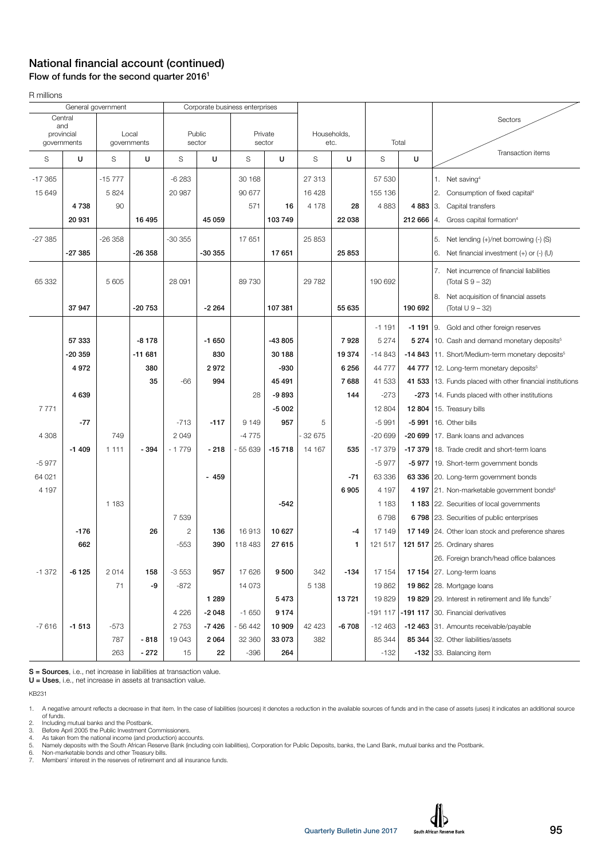#### National financial account (continued) Flow of funds for the second quarter 20161

R millions

|            |             | General government |                      | Corporate business enterprises |                  |          |                   |         |                     |           |            |                                                               |
|------------|-------------|--------------------|----------------------|--------------------------------|------------------|----------|-------------------|---------|---------------------|-----------|------------|---------------------------------------------------------------|
|            | Central     |                    |                      |                                |                  |          |                   |         |                     |           |            | Sectors                                                       |
| and        |             |                    |                      |                                |                  |          |                   |         |                     |           |            |                                                               |
| provincial | governments |                    | Local<br>governments |                                | Public<br>sector |          | Private<br>sector |         | Households,<br>etc. |           | Total      |                                                               |
| S          | U           | S                  | U                    | S                              | U                | S        | U                 | S       | U                   | S         | U          | Transaction items                                             |
| $-17.365$  |             | $-15777$           |                      | $-6283$                        |                  | 30 168   |                   | 27 313  |                     | 57 530    |            | 1. Net saving <sup>4</sup>                                    |
| 15 649     |             | 5824               |                      | 20 987                         |                  | 90 677   |                   | 16 4 28 |                     | 155 136   |            | 2. Consumption of fixed capital <sup>4</sup>                  |
|            | 4738        | 90                 |                      |                                |                  | 571      | 16                | 4 1 7 8 | 28                  | 4883      | 4 8 8 3 3. | Capital transfers                                             |
|            | 20 931      |                    | 16 495               |                                | 45 059           |          | 103 749           |         | 22 038              |           | 212 666    | Gross capital formation <sup>4</sup><br>14.                   |
|            |             |                    |                      |                                |                  |          |                   |         |                     |           |            |                                                               |
| $-27385$   |             | $-26358$           |                      | $-30355$                       |                  | 17651    |                   | 25 853  |                     |           |            | 5. Net lending (+)/net borrowing (-) (S)                      |
|            | -27 385     |                    | -26 358              |                                | $-30355$         |          | 17651             |         | 25 853              |           |            | Net financial investment $(+)$ or $(-)$ (U)                   |
|            |             |                    |                      |                                |                  |          |                   |         |                     |           |            | 7.<br>Net incurrence of financial liabilities                 |
| 65 332     |             | 5 605              |                      | 28 091                         |                  | 89 730   |                   | 29 7 82 |                     | 190 692   |            | (Total S 9 – 32)                                              |
|            |             |                    |                      |                                |                  |          |                   |         |                     |           |            | 8.<br>Net acquisition of financial assets                     |
|            | 37947       |                    | -20 753              |                                | $-2264$          |          | 107 381           |         | 55 635              |           | 190 692    | (Total U 9 - 32)                                              |
|            |             |                    |                      |                                |                  |          |                   |         |                     | $-1191$   |            | -1 191 9. Gold and other foreign reserves                     |
|            | 57 333      |                    | $-8178$              |                                | $-1650$          |          | -43 805           |         | 7928                | 5 2 7 4   |            | 5 274   10. Cash and demand monetary deposits <sup>5</sup>    |
|            | -20 359     |                    | $-11681$             |                                | 830              |          | 30 188            |         | 19374               | $-14843$  |            | -14 843 11. Short/Medium-term monetary deposits <sup>5</sup>  |
|            | 4972        |                    | 380                  |                                | 2972             |          | -930              |         | 6 2 5 6             | 44777     |            | 44 777   12. Long-term monetary deposits <sup>5</sup>         |
|            |             |                    | 35                   | $-66$                          | 994              |          | 45 491            |         | 7688                | 41 533    |            | 41 533   13. Funds placed with other financial institutions   |
|            | 4639        |                    |                      |                                |                  | 28       | $-9893$           |         | 144                 | $-273$    |            | -273   14. Funds placed with other institutions               |
| 7771       |             |                    |                      |                                |                  |          | $-5002$           |         |                     | 12 804    |            | <b>12 804</b>   15. Treasury bills                            |
|            | $-77$       |                    |                      | $-713$                         | $-117$           | 9 1 4 9  | 957               | 5       |                     | $-5991$   | $-5991$    | 16. Other bills                                               |
| 4 3 0 8    |             | 749                |                      | 2049                           |                  | $-4775$  |                   | 32 675  |                     | $-20699$  |            | -20 699   17. Bank loans and advances                         |
|            | $-1409$     | 1 1 1 1            | $-394$               | $-1779$                        | $-218$           | $-55639$ | $-15718$          | 14 167  | 535                 | $-17379$  |            | -17 379   18. Trade credit and short-term loans               |
| $-5977$    |             |                    |                      |                                |                  |          |                   |         |                     | $-5977$   |            | -5 977   19. Short-term government bonds                      |
| 64 021     |             |                    |                      |                                | $-459$           |          |                   |         | $-71$               | 63 336    |            | 63 336 20. Long-term government bonds                         |
| 4 197      |             |                    |                      |                                |                  |          |                   |         | 6905                | 4 1 9 7   |            | 4 197   21. Non-marketable government bonds <sup>6</sup>      |
|            |             | 1 1 8 3            |                      |                                |                  |          | $-542$            |         |                     | 1 1 8 3   |            | 1 183 22. Securities of local governments                     |
|            |             |                    |                      | 7539                           |                  |          |                   |         |                     | 6798      |            | 6 798 23. Securities of public enterprises                    |
|            | $-176$      |                    | 26                   | $\overline{c}$                 | 136              | 16913    | 10 627            |         | -4                  | 17 149    |            | 17 149 24. Other loan stock and preference shares             |
|            | 662         |                    |                      | $-553$                         | 390              | 118 483  | 27 615            |         | $\mathbf{1}$        | 121 517   |            | 121 517 25. Ordinary shares                                   |
|            |             |                    |                      |                                |                  |          |                   |         |                     |           |            | 26. Foreign branch/head office balances                       |
| $-1372$    | $-6125$     | 2014               | 158                  | $-3553$                        | 957              | 17626    | 9500              | 342     | $-134$              | 17 154    |            | 17 154 $ 27$ . Long-term loans                                |
|            |             | 71                 | -9                   | $-872$                         |                  | 14 0 73  |                   | 5 1 3 8 |                     | 19862     |            | 19 862 28. Mortgage loans                                     |
|            |             |                    |                      |                                | 1 2 8 9          |          | 5473              |         | 13721               | 19829     |            | 19 829 29. Interest in retirement and life funds <sup>7</sup> |
|            |             |                    |                      | 4 2 2 6                        | $-2048$          | $-1650$  | 9174              |         |                     | $-191117$ |            | -191 117 30. Financial derivatives                            |
| $-7616$    | $-1513$     | $-573$             |                      | 2 7 5 3                        | $-7426$          | - 56 442 | 10 909            | 42 4 23 | $-6708$             | $-12463$  |            | -12 463 31. Amounts receivable/payable                        |
|            |             | 787                | $-818$               | 19 043                         | 2 0 6 4          | 32 360   | 33 073            | 382     |                     | 85 344    |            | 85 344 32. Other liabilities/assets                           |
|            |             | 263                | $-272$               | 15                             | 22               | $-396$   | 264               |         |                     | $-132$    |            | -132 33. Balancing item                                       |
|            |             |                    |                      |                                |                  |          |                   |         |                     |           |            |                                                               |

S = Sources, i.e., net increase in liabilities at transaction value.

U = Uses, i.e., net increase in assets at transaction value.

KB231

1. A negative amount reflects a decrease in that item. In the case of liabilities (sources) it denotes a reduction in the available sources of funds and in the case of assets (uses) it indicates an additional source<br>of fun

2. Including mutual banks and the Postbank. 3. Before April 2005 the Public Investment Commissioners.

4. As taken from the national income (and production) accounts.<br>5. Namely deposits with the South African Reserve Bank (including coin liabilities), Corporation for Public Deposits, banks, the Land Bank, mutual banks and t

6. Non-marketable bonds and other Treasury bills.<br>6. Non-marketable bonds and other Treasury bills.<br>7. Members' interest in the reserves of retirement a Members' interest in the reserves of retirement and all insurance funds.

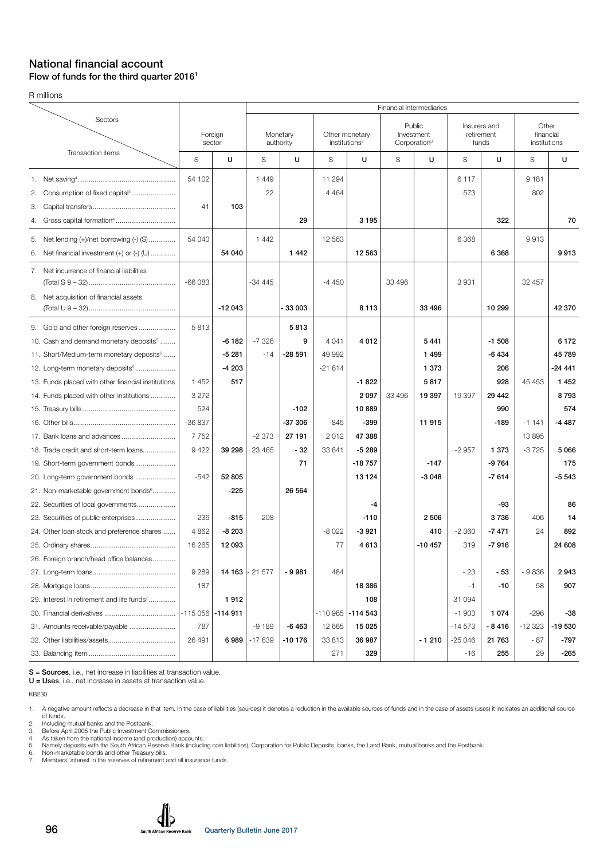#### National financial account Flow of funds for the third quarter 2016<sup>1</sup>

R millions

|                                                        |                   |           |          |                       |                           |                     |                                                  | Financial intermediaries |                                     |         |                                    |          |
|--------------------------------------------------------|-------------------|-----------|----------|-----------------------|---------------------------|---------------------|--------------------------------------------------|--------------------------|-------------------------------------|---------|------------------------------------|----------|
| Sectors                                                | Foreign<br>sector |           |          | Monetary<br>authority | institutions <sup>2</sup> | Other monetary      | Public<br>Investment<br>Corporation <sup>3</sup> |                          | Insurers and<br>retirement<br>funds |         | Other<br>financial<br>institutions |          |
| Transaction items                                      | S                 | U         | S        | U                     | S                         | U                   | S                                                | U                        | S                                   | U       | S                                  | U        |
|                                                        | 54 102            |           | 1449     |                       | 11 294                    |                     |                                                  |                          | 6 1 1 7                             |         | 9 1 8 1                            |          |
| Consumption of fixed capital <sup>4</sup><br>2.        |                   |           | 22       |                       | 4 4 6 4                   |                     |                                                  |                          | 573                                 |         | 802                                |          |
| З.                                                     | 41                | 103       |          |                       |                           |                     |                                                  |                          |                                     |         |                                    |          |
| 4.                                                     |                   |           |          | 29                    |                           | 3195                |                                                  |                          |                                     | 322     |                                    | 70       |
| 5. Net lending (+)/net borrowing (-) (S)               | 54 040            |           | 1 4 4 2  |                       | 12 5 63                   |                     |                                                  |                          | 6 3 6 8                             |         | 9913                               |          |
| Net financial investment (+) or (-) (U)<br>6.          |                   | 54 040    |          | 1442                  |                           | 12 5 63             |                                                  |                          |                                     | 6 3 6 8 |                                    | 9913     |
| 7. Net incurrence of financial liabilities             | $-66083$          |           | $-34445$ |                       | $-4450$                   |                     | 33 496                                           |                          | 3931                                |         | 32 457                             |          |
| 8. Net acquisition of financial assets                 |                   |           |          |                       |                           |                     |                                                  |                          |                                     |         |                                    |          |
|                                                        |                   | $-12043$  |          | 33 003                |                           | 8113                |                                                  | 33 496                   |                                     | 10 299  |                                    | 42 370   |
| 9. Gold and other foreign reserves                     | 5813              |           |          | 5813                  |                           |                     |                                                  |                          |                                     |         |                                    |          |
| 10. Cash and demand monetary deposits <sup>5</sup>     |                   | $-6182$   | $-7326$  | 9                     | 4 0 4 1                   | 4 0 1 2             |                                                  | 5441                     |                                     | $-1508$ |                                    | 6 1 7 2  |
| 11. Short/Medium-term monetary deposits <sup>5</sup>   |                   | $-5281$   | $-14$    | $-28591$              | 49 992                    |                     |                                                  | 1499                     |                                     | -6434   |                                    | 45 789   |
| 12. Long-term monetary deposits <sup>5</sup>           |                   | $-4203$   |          |                       | $-21614$                  |                     |                                                  | 1 3 7 3                  |                                     | 206     |                                    | $-24441$ |
| 13. Funds placed with other financial institutions     | 1452              | 517       |          |                       |                           | $-1822$             |                                                  | 5817                     |                                     | 928     | 45 453                             | 1 4 5 2  |
| 14. Funds placed with other institutions               | 3 2 7 2           |           |          |                       |                           | 2097                | 33 496                                           | 19 397                   | 19 397                              | 29 4 42 |                                    | 8793     |
|                                                        | 524               |           |          | $-102$                |                           | 10889               |                                                  |                          |                                     | 990     |                                    | 574      |
|                                                        | $-36837$          |           |          | $-37306$              | $-845$                    | $-399$              |                                                  | 11 915                   |                                     | $-189$  | $-1141$                            | $-4487$  |
| 17. Bank loans and advances                            | 7752              |           | $-2373$  | 27 191                | 2012                      | 47 388              |                                                  |                          |                                     |         | 13895                              |          |
| 18. Trade credit and short-term loans                  | 9 4 2 2           | 39 298    | 23 4 65  | $-32$                 | 33 641                    | $-5289$             |                                                  |                          | $-2957$                             | 1 373   | $-3725$                            | 5 0 66   |
| 19. Short-term government bonds                        |                   |           |          | 71                    |                           | $-18757$            |                                                  | $-147$                   |                                     | -9764   |                                    | 175      |
| 20. Long-term government bonds                         | $-542$            | 52 805    |          |                       |                           | 13 1 24             |                                                  | $-3048$                  |                                     | $-7614$ |                                    | $-5543$  |
| 21. Non-marketable government bonds <sup>6</sup>       |                   | -225      |          | 26 5 64               |                           |                     |                                                  |                          |                                     |         |                                    |          |
| 22. Securities of local governments                    |                   |           |          |                       |                           | -4                  |                                                  |                          |                                     | -93     |                                    | 86       |
|                                                        | 236               | $-815$    | 208      |                       |                           | $-110$              |                                                  | 2 5 0 6                  |                                     | 3736    | 406                                | 14       |
| 24. Other loan stock and preference shares             | 4 8 6 2           | $-8203$   |          |                       | $-8022$                   | $-3921$             |                                                  | 410                      | $-2360$                             | $-7471$ | 24                                 | 892      |
|                                                        | 16 265            | 12 093    |          |                       | 77                        | 4613                |                                                  | $-10457$                 | 319                                 | $-7916$ |                                    | 24 608   |
| 26. Foreign branch/head office balances                |                   |           |          |                       |                           |                     |                                                  |                          |                                     |         |                                    |          |
|                                                        | 9 2 8 9           | 14 163    | $-21577$ | $-9981$               | 484                       |                     |                                                  |                          | - 23                                | - 53    | $-9836$                            | 2943     |
|                                                        | 187               |           |          |                       |                           | 18 386              |                                                  |                          | -1                                  | $-10$   | 58                                 | 907      |
| 29. Interest in retirement and life funds <sup>7</sup> |                   | 1912      |          |                       |                           | 108                 |                                                  |                          | 31 094                              |         |                                    |          |
|                                                        | $-115056$         | $-114911$ |          |                       |                           | $-110965$ $-114543$ |                                                  |                          | $-1903$                             | 1 0 7 4 | -296                               | -38      |
|                                                        | 787               |           | $-9189$  | $-6463$               | 12 665                    | 15 0 25             |                                                  |                          | $-14573$                            | -8416   | -12 323                            | -19 530  |
|                                                        | 26 491            | 6989      | $-17639$ | -10 176               | 33 813                    | 36 987              |                                                  | $-1210$                  | $-25046$                            | 21 763  | - 87                               | -797     |
|                                                        |                   |           |          |                       | 271                       | 329                 |                                                  |                          | -16                                 | 255     | 29                                 | -265     |

S = Sources, i.e., net increase in liabilities at transaction value.

U = Uses, i.e., net increase in assets at transaction value.

KB230

1. A negative amount reflects a decrease in that item. In the case of liabilities (sources) it denotes a reduction in the available sources of funds and in the case of assets (uses) it indicates an additional source<br>6 fund

2. Including mutual banks and the Postbank. 3. Before April 2005 the Public Investment Commissioners. 4. As taken from the national income (and production) accounts.

5. Namely deposits with the South African Reserve Bank (including coin liabilities), Corporation for Public Deposits, banks, the Land Bank, mutual banks and the Postbank. 6. Non-marketable bonds and other Treasury bills.

7. Ne water more reserved to the reserve Bank (including coin list of the reserve Bank (including coin list of the reserves of retirement and all insurance funds.

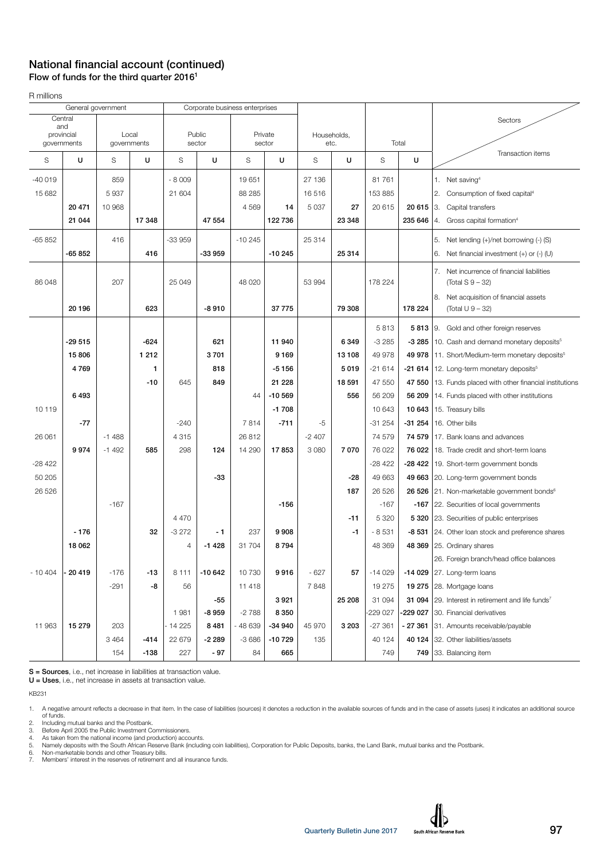### National financial account (continued) Flow of funds for the third quarter 2016<sup>1</sup>

R millions

|            |             | General government |                      |                | Corporate business enterprises |          |                   |         |                     |          |            |                                                                   |
|------------|-------------|--------------------|----------------------|----------------|--------------------------------|----------|-------------------|---------|---------------------|----------|------------|-------------------------------------------------------------------|
| Central    |             |                    |                      |                |                                |          |                   |         |                     |          |            | Sectors                                                           |
| and        |             |                    |                      |                |                                |          |                   |         |                     |          |            |                                                                   |
| provincial | governments |                    | Local<br>governments |                | Public<br>sector               |          | Private<br>sector |         | Households,<br>etc. |          | Total      |                                                                   |
| S          | U           | S                  | U                    | S              | U                              | S        | U                 | S       | U                   | S<br>U   |            | Transaction items                                                 |
|            |             |                    |                      |                |                                |          |                   |         |                     |          |            |                                                                   |
| $-40019$   |             | 859                |                      | $-8009$        |                                | 19651    |                   | 27 136  |                     | 81 761   |            | 1. Net saving <sup>4</sup>                                        |
| 15 682     |             | 5937               |                      | 21 604         |                                | 88 285   |                   | 16516   |                     | 153 885  |            | 2.<br>Consumption of fixed capital <sup>4</sup>                   |
|            | 20 471      | 10 968             |                      |                |                                | 4569     | 14                | 5 0 3 7 | 27                  | 20 615   | $20615$ 3. | Capital transfers                                                 |
|            | 21 044      |                    | 17 348               |                | 47 554                         |          | 122 736           |         | 23 348              |          | 235 646    | Gross capital formation <sup>4</sup><br>4.                        |
| $-65852$   |             | 416                |                      | $-33959$       |                                | $-10245$ |                   | 25 314  |                     |          |            | Net lending (+)/net borrowing (-) (S)<br>5.                       |
|            | -65 852     |                    | 416                  |                | $-33959$                       |          | $-10245$          |         | 25 314              |          |            | Net financial investment $(+)$ or $(-)$ (U)<br>6.                 |
|            |             |                    |                      |                |                                |          |                   |         |                     |          |            |                                                                   |
| 86 048     |             | 207                |                      | 25 049         |                                | 48 0 20  |                   | 53 994  |                     | 178 224  |            | 7.<br>Net incurrence of financial liabilities<br>(Total S 9 – 32) |
|            |             |                    |                      |                |                                |          |                   |         |                     |          |            |                                                                   |
|            | 20 196      |                    | 623                  |                | $-8910$                        |          | 37 775            |         | 79 308              |          | 178 224    | Net acquisition of financial assets<br>8.<br>(Total $U$ 9 – 32)   |
|            |             |                    |                      |                |                                |          |                   |         |                     |          |            |                                                                   |
|            |             |                    |                      |                |                                |          |                   |         |                     | 5813     |            | 5813 9. Gold and other foreign reserves                           |
|            | -29 515     |                    | $-624$               |                | 621                            |          | 11 940            |         | 6349                | $-3285$  |            | -3 285 10. Cash and demand monetary deposits <sup>5</sup>         |
|            | 15806       |                    | 1 2 1 2              |                | 3701                           |          | 9 1 6 9           |         | 13108               | 49 978   |            | 49 978   11. Short/Medium-term monetary deposits <sup>5</sup>     |
|            | 4769        |                    | 1                    |                | 818                            |          | $-5156$           |         | 5019                | $-21614$ |            | $-21614$   12. Long-term monetary deposits <sup>5</sup>           |
|            |             |                    | -10                  | 645            | 849                            |          | 21 228            |         | 18 591              | 47 550   | 47 550     | 13. Funds placed with other financial institutions                |
|            | 6493        |                    |                      |                |                                | 44       | $-10569$          |         | 556                 | 56 209   | 56 209     | 14. Funds placed with other institutions                          |
| 10 119     |             |                    |                      |                |                                |          | $-1708$           |         |                     | 10 643   | 10 643     | 15. Treasury bills                                                |
|            | $-77$       |                    |                      | $-240$         |                                | 7814     | $-711$            | -5      |                     | $-31254$ | $-31254$   | 16. Other bills                                                   |
| 26 061     |             | $-1488$            |                      | 4315           |                                | 26812    |                   | $-2407$ |                     | 74 579   | 74 579     | 17. Bank loans and advances                                       |
|            | 9974        | $-1492$            | 585                  | 298            | 124                            | 14 290   | 17853             | 3 0 8 0 | 7070                | 76 022   | 76 022     | 18. Trade credit and short-term loans                             |
| $-28422$   |             |                    |                      |                |                                |          |                   |         |                     | $-28422$ |            | -28 422   19. Short-term government bonds                         |
| 50 205     |             |                    |                      |                | -33                            |          |                   |         | -28                 | 49 663   |            | 49 663 20. Long-term government bonds                             |
| 26 5 26    |             |                    |                      |                |                                |          |                   |         | 187                 | 26 5 26  |            | 26 526 21. Non-marketable government bonds <sup>6</sup>           |
|            |             | $-167$             |                      |                |                                |          | $-156$            |         |                     | $-167$   |            | -167   22. Securities of local governments                        |
|            |             |                    |                      | 4 4 7 0        |                                |          |                   |         | $-11$               | 5 3 2 0  |            | 5 320 23. Securities of public enterprises                        |
|            | $-176$      |                    | 32                   | $-3272$        | $-1$                           | 237      | 9 9 0 8           |         | $-1$                | $-8531$  |            | -8 531 24. Other loan stock and preference shares                 |
|            | 18 062      |                    |                      | $\overline{4}$ | $-1428$                        | 31 704   | 8794              |         |                     | 48 369   |            | 48 369 25. Ordinary shares                                        |
|            |             |                    |                      |                |                                |          |                   |         |                     |          |            | 26. Foreign branch/head office balances                           |
| $-10404$   | 20419       | $-176$             | $-13$                | 8 1 1 1        | $-10642$                       | 10730    | 9916              | $-627$  | 57                  | $-14029$ |            | -14 029 $ 27$ . Long-term loans                                   |
|            |             | $-291$             | -8                   | 56             |                                | 11 4 18  |                   | 7848    |                     | 19 275   |            | <b>19 275</b> 28. Mortgage loans                                  |
|            |             |                    |                      |                | -55                            |          | 3921              |         | 25 208              | 31 094   |            | 31 094 29. Interest in retirement and life funds <sup>7</sup>     |
|            |             |                    |                      | 1981           | $-8959$                        | $-2788$  | 8 3 5 0           |         |                     | -229 027 |            | -229 027 30. Financial derivatives                                |
| 11 963     | 15 279      | 203                |                      | - 14 225       | 8 4 8 1                        | - 48 639 | $-34940$          | 45 970  | 3 2 0 3             | $-27361$ | - 27 361   | 31. Amounts receivable/payable                                    |
|            |             | 3 4 6 4            | $-414$               | 22 679         | $-2289$                        | $-3686$  | $-10729$          | 135     |                     | 40 124   |            | 40 124 32. Other liabilities/assets                               |
|            |             | 154                | $-138$               | 227            | $-97$                          | 84       | 665               |         |                     | 749      |            | 749 33. Balancing item                                            |

S = Sources, i.e., net increase in liabilities at transaction value.

U = Uses, i.e., net increase in assets at transaction value.

KB231

1. A negative amount reflects a decrease in that item. In the case of liabilities (sources) it denotes a reduction in the available sources of funds and in the case of assets (uses) it indicates an additional source<br>6 fund

2. Including mutual banks and the Postbank. 3. Before April 2005 the Public Investment Commissioners.

4. As taken from the national income (and production) accounts.<br>5. Namely deposits with the South African Reserve Bank (including coin liabilities), Corporation for Public Deposits, banks, the Land Bank, mutual banks and

6. Non-marketable bonds and other Treasury bills. 7. Members' interest in the reserves of retirement and all insurance funds.

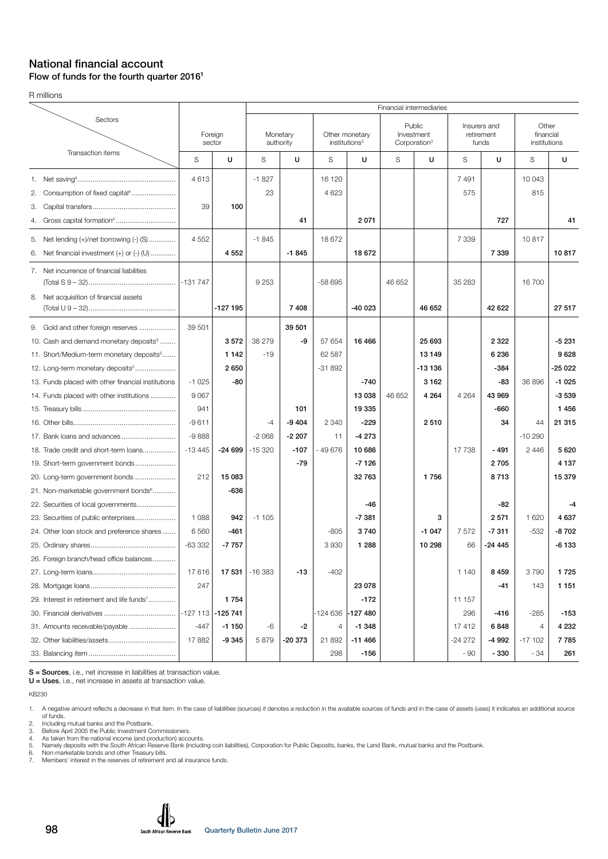#### National financial account Flow of funds for the fourth quarter 2016<sup>1</sup>

R millions

|                                                                                                                                                                                                  |                                          |                               |                             |                              |                                  |                                             |                                                  | Financial intermediaries    |                                     |                                    |                                      |                                       |
|--------------------------------------------------------------------------------------------------------------------------------------------------------------------------------------------------|------------------------------------------|-------------------------------|-----------------------------|------------------------------|----------------------------------|---------------------------------------------|--------------------------------------------------|-----------------------------|-------------------------------------|------------------------------------|--------------------------------------|---------------------------------------|
| Sectors                                                                                                                                                                                          |                                          | Foreign<br>sector             | Monetary<br>authority       |                              |                                  | Other monetary<br>institutions <sup>2</sup> | Public<br>Investment<br>Corporation <sup>3</sup> |                             | Insurers and<br>retirement<br>funds |                                    | Other<br>financial<br>institutions   |                                       |
| Transaction items                                                                                                                                                                                | S                                        | U                             | S                           | U                            | S                                | U                                           | S                                                | U                           | S                                   | U                                  | S                                    | U                                     |
| 2. Consumption of fixed capital <sup>4</sup><br>З.<br>4.                                                                                                                                         | 4613<br>39                               | 100                           | $-1827$<br>23               | 41                           | 16 120<br>4 6 23                 | 2071                                        |                                                  |                             | 7491<br>575                         | 727                                | 10 043<br>815                        | 41                                    |
| Net lending (+)/net borrowing (-) (S)<br>5.<br>Net financial investment (+) or (-) (U)<br>6.                                                                                                     | 4 5 5 2                                  | 4 5 5 2                       | $-1845$                     | $-1845$                      | 18 672                           | 18 672                                      |                                                  |                             | 7 3 3 9                             | 7 3 3 9                            | 10817                                | 10817                                 |
| 7. Net incurrence of financial liabilities<br>8. Net acquisition of financial assets                                                                                                             |                                          | $-127195$                     | 9 2 5 3                     | 7 4 0 8                      | -58 695                          | $-40023$                                    | 46 652                                           | 46 652                      | 35 283                              | 42 622                             | 16 700                               | 27 517                                |
| 9. Gold and other foreign reserves<br>10. Cash and demand monetary deposits <sup>5</sup><br>11. Short/Medium-term monetary deposits <sup>5</sup><br>12. Long-term monetary deposits <sup>5</sup> | 39 501                                   | 3572<br>1 1 4 2<br>2650       | 38 279<br>$-19$             | 39 501<br>-9                 | 57 654<br>62 587<br>$-31892$     | 16466                                       |                                                  | 25 693<br>13 149<br>-13 136 |                                     | 2 3 2 2<br>6 2 3 6<br>$-384$       |                                      | $-5231$<br>9628<br>-25 022            |
| 13. Funds placed with other financial institutions<br>14. Funds placed with other institutions                                                                                                   | $-1025$<br>9 0 67<br>941                 | -80                           |                             | 101                          |                                  | $-740$<br>13 038<br>19 335                  | 46 652                                           | 3 1 6 2<br>4 2 6 4          | 4 2 6 4                             | -83<br>43 969<br>-660              | 36 896                               | $-1025$<br>$-3539$<br>1 4 5 6         |
| 18. Trade credit and short-term loans                                                                                                                                                            | $-9611$<br>$-9888$<br>$-13445$           | $-24699$                      | $-4$<br>$-2068$<br>$-15320$ | $-9404$<br>$-2207$<br>$-107$ | 2 3 4 0<br>11<br>- 49 676        | $-229$<br>$-4273$<br>10686                  |                                                  | 2510                        | 17 738                              | 34<br>$-491$                       | 44<br>$-10290$<br>2 4 4 6            | 21 315<br>5 6 20                      |
| 19. Short-term government bonds<br>20. Long-term government bonds<br>21. Non-marketable government bonds <sup>6</sup>                                                                            | 212                                      | 15 083<br>-636                |                             | $-79$                        |                                  | $-7126$<br>32763                            |                                                  | 1756                        |                                     | 2705<br>8713                       |                                      | 4 1 3 7<br>15 379                     |
| 22. Securities of local governments<br>23. Securities of public enterprises<br>24. Other loan stock and preference shares                                                                        | 1 0 8 8<br>6560<br>$-63332$              | 942<br>$-461$<br>$-7757$      | $-1105$                     |                              | $-805$<br>3930                   | -46<br>$-7381$<br>3740<br>1 2 8 8           |                                                  | 3<br>$-1047$<br>10 298      | 7572<br>66                          | -82<br>2571<br>$-7311$<br>$-24445$ | 1 6 2 0<br>$-532$                    | $-4$<br>4 6 3 7<br>$-8702$<br>$-6133$ |
| 26. Foreign branch/head office balances                                                                                                                                                          | 17616<br>247                             | 17 531                        | $-16383$                    | $-13$                        | $-402$                           | 23 078                                      |                                                  |                             | 1 140                               | 8459<br>-41                        | 3790<br>143                          | 1725<br>1 1 5 1                       |
| 29. Interest in retirement and life funds <sup>7</sup><br>31. Amounts receivable/payable                                                                                                         | $-127$ 113 $-125$ 741<br>$-447$<br>17882 | 1 7 5 4<br>$-1150$<br>$-9345$ | -6<br>5879                  | -2<br>-20 373                | -124 636 -127 480<br>4<br>21 892 | $-172$<br>$-1348$<br>$-11466$               |                                                  |                             | 11 157<br>296<br>17412<br>$-24272$  | -416<br>6848<br>-4 992             | $-285$<br>$\overline{4}$<br>$-17102$ | $-153$<br>4 2 3 2<br>7785             |
|                                                                                                                                                                                                  |                                          |                               |                             |                              | 298                              | $-156$                                      |                                                  |                             | - 90                                | $-330$                             | - 34                                 | 261                                   |

S = Sources, i.e., net increase in liabilities at transaction value.

U = Uses, i.e., net increase in assets at transaction value.

KB230

1. A negative amount reflects a decrease in that item. In the case of liabilities (sources) it denotes a reduction in the available sources of funds and in the case of assets (uses) it indicates an additional source<br>6 fund

2. Including mutual banks and the Postbank. 3. Before April 2005 the Public Investment Commissioners. 4. As taken from the national income (and production) accounts.

5. Namely deposits with the South African Reserve Bank (including coin liabilities), Corporation for Public Deposits, banks, the Land Bank, mutual banks and the Postbank. 6. Non-marketable bonds and other Treasury bills. 7. Ne water more reserved to the reserve Bank (including coin list of the reserve Bank (including coin list of the reserves of retirement and all insurance funds.